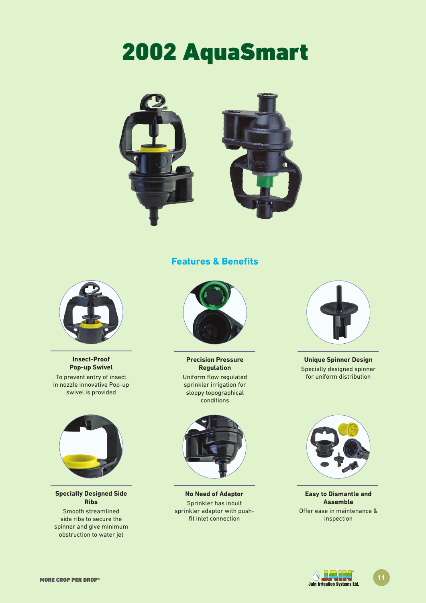# 2002 AquaSmart



### **Features & Benefits**



**Insect-Proof Pop-up Swivel** To prevent entry of insect in nozzle innovative Pop-up swivel is provided



**Specially Designed Side Ribs**

Smooth streamlined side ribs to secure the spinner and give minimum obstruction to water jet



**Precision Pressure Regulation**

Uniform flow regulated sprinkler irrigation for sloppy topographical conditions



**No Need of Adaptor** Sprinkler has inbult sprinkler adaptor with pushfit inlet connection



**Unique Spinner Design** Specially designed spinner for uniform distribution



**Easy to Dismantle and Assemble** Offer ease in maintenance & inspection